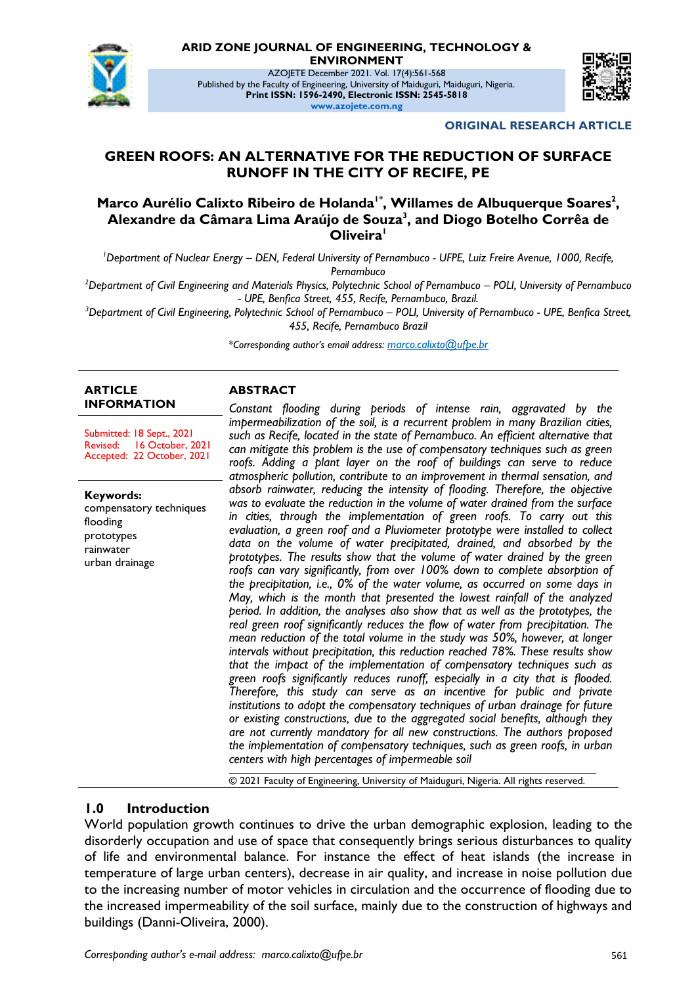

**ARID ZONE JOURNAL OF ENGINEERING, TECHNOLOGY &** 

**ENVIRONMENT**

AZOJETE December 2021. Vol. 17(4):561-568 Published by the Faculty of Engineering, University of Maiduguri, Maiduguri, Nigeria. **Print ISSN: 1596-2490, Electronic ISSN: 2545-5818 www.azojete.com.ng**



**ORIGINAL RESEARCH ARTICLE**

# **GREEN ROOFS: AN ALTERNATIVE FOR THE REDUCTION OF SURFACE RUNOFF IN THE CITY OF RECIFE, PE**

### **Marco Aurélio Calixto Ribeiro de Holanda1\* , Willames de Albuquerque Soares<sup>2</sup> , Alexandre da Câmara Lima Araújo de Souza<sup>3</sup> , and Diogo Botelho Corrêa de Oliveira<sup>1</sup>**

*<sup>1</sup>Department of Nuclear Energy – DEN, Federal University of Pernambuco - UFPE, Luiz Freire Avenue, 1000, Recife, Pernambuco*

*<sup>2</sup>Department of Civil Engineering and Materials Physics, Polytechnic School of Pernambuco – POLI, University of Pernambuco - UPE, Benfica Street, 455, Recife, Pernambuco, Brazil.* 

*<sup>3</sup>Department of Civil Engineering, Polytechnic School of Pernambuco – POLI, University of Pernambuco - UPE, Benfica Street, 455, Recife, Pernambuco Brazil*

*\*Corresponding author's email address: marco.calixto@ufpe.br*

#### **ARTICLE INFORMATION**

Submitted: 18 Sept., 2021 Revised: 16 October, 2021 Accepted: 22 October, 2021

**Keywords:** compensatory techniques flooding prototypes rainwater urban drainage

#### **ABSTRACT**

*Constant flooding during periods of intense rain, aggravated by the impermeabilization of the soil, is a recurrent problem in many Brazilian cities, such as Recife, located in the state of Pernambuco. An efficient alternative that can mitigate this problem is the use of compensatory techniques such as green roofs. Adding a plant layer on the roof of buildings can serve to reduce atmospheric pollution, contribute to an improvement in thermal sensation, and absorb rainwater, reducing the intensity of flooding. Therefore, the objective was to evaluate the reduction in the volume of water drained from the surface in cities, through the implementation of green roofs. To carry out this evaluation, a green roof and a Pluviometer prototype were installed to collect data on the volume of water precipitated, drained, and absorbed by the prototypes. The results show that the volume of water drained by the green roofs can vary significantly, from over 100% down to complete absorption of the precipitation, i.e., 0% of the water volume, as occurred on some days in May, which is the month that presented the lowest rainfall of the analyzed period. In addition, the analyses also show that as well as the prototypes, the real green roof significantly reduces the flow of water from precipitation. The mean reduction of the total volume in the study was 50%, however, at longer intervals without precipitation, this reduction reached 78%. These results show that the impact of the implementation of compensatory techniques such as green roofs significantly reduces runoff, especially in a city that is flooded. Therefore, this study can serve as an incentive for public and private institutions to adopt the compensatory techniques of urban drainage for future or existing constructions, due to the aggregated social benefits, although they are not currently mandatory for all new constructions. The authors proposed the implementation of compensatory techniques, such as green roofs, in urban centers with high percentages of impermeable soil*

© 2021 Faculty of Engineering, University of Maiduguri, Nigeria. All rights reserved.

## **1.0 Introduction**

World population growth continues to drive the urban demographic explosion, leading to the disorderly occupation and use of space that consequently brings serious disturbances to quality of life and environmental balance. For instance the effect of heat islands (the increase in temperature of large urban centers), decrease in air quality, and increase in noise pollution due to the increasing number of motor vehicles in circulation and the occurrence of flooding due to the increased impermeability of the soil surface, mainly due to the construction of highways and buildings (Danni-Oliveira, 2000).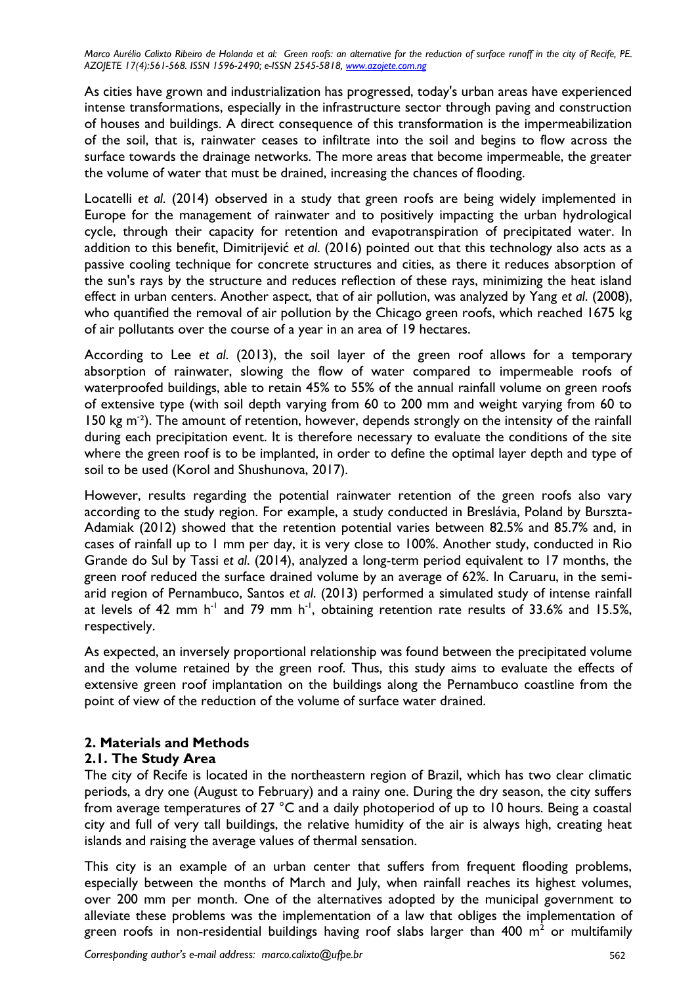As cities have grown and industrialization has progressed, today's urban areas have experienced intense transformations, especially in the infrastructure sector through paving and construction of houses and buildings. A direct consequence of this transformation is the impermeabilization of the soil, that is, rainwater ceases to infiltrate into the soil and begins to flow across the surface towards the drainage networks. The more areas that become impermeable, the greater the volume of water that must be drained, increasing the chances of flooding.

Locatelli *et al*. (2014) observed in a study that green roofs are being widely implemented in Europe for the management of rainwater and to positively impacting the urban hydrological cycle, through their capacity for retention and evapotranspiration of precipitated water. In addition to this benefit, Dimitrijević *et al*. (2016) pointed out that this technology also acts as a passive cooling technique for concrete structures and cities, as there it reduces absorption of the sun's rays by the structure and reduces reflection of these rays, minimizing the heat island effect in urban centers. Another aspect, that of air pollution, was analyzed by Yang *et al*. (2008), who quantified the removal of air pollution by the Chicago green roofs, which reached 1675 kg of air pollutants over the course of a year in an area of 19 hectares.

According to Lee *et al*. (2013), the soil layer of the green roof allows for a temporary absorption of rainwater, slowing the flow of water compared to impermeable roofs of waterproofed buildings, able to retain 45% to 55% of the annual rainfall volume on green roofs of extensive type (with soil depth varying from 60 to 200 mm and weight varying from 60 to 150 kg m<sup>-2</sup>). The amount of retention, however, depends strongly on the intensity of the rainfall during each precipitation event. It is therefore necessary to evaluate the conditions of the site where the green roof is to be implanted, in order to define the optimal layer depth and type of soil to be used (Korol and Shushunova, 2017).

However, results regarding the potential rainwater retention of the green roofs also vary according to the study region. For example, a study conducted in Breslávia, Poland by Burszta-Adamiak (2012) showed that the retention potential varies between 82.5% and 85.7% and, in cases of rainfall up to 1 mm per day, it is very close to 100%. Another study, conducted in Rio Grande do Sul by Tassi *et al*. (2014), analyzed a long-term period equivalent to 17 months, the green roof reduced the surface drained volume by an average of 62%. In Caruaru, in the semiarid region of Pernambuco, Santos *et al*. (2013) performed a simulated study of intense rainfall at levels of 42 mm h<sup>-1</sup> and 79 mm h<sup>-1</sup>, obtaining retention rate results of 33.6% and 15.5%, respectively.

As expected, an inversely proportional relationship was found between the precipitated volume and the volume retained by the green roof. Thus, this study aims to evaluate the effects of extensive green roof implantation on the buildings along the Pernambuco coastline from the point of view of the reduction of the volume of surface water drained.

## **2. Materials and Methods**

#### **2.1. The Study Area**

The city of Recife is located in the northeastern region of Brazil, which has two clear climatic periods, a dry one (August to February) and a rainy one. During the dry season, the city suffers from average temperatures of 27 °C and a daily photoperiod of up to 10 hours. Being a coastal city and full of very tall buildings, the relative humidity of the air is always high, creating heat islands and raising the average values of thermal sensation.

This city is an example of an urban center that suffers from frequent flooding problems, especially between the months of March and July, when rainfall reaches its highest volumes, over 200 mm per month. One of the alternatives adopted by the municipal government to alleviate these problems was the implementation of a law that obliges the implementation of green roofs in non-residential buildings having roof slabs larger than 400  $\textsf{m}^2$  or multifamily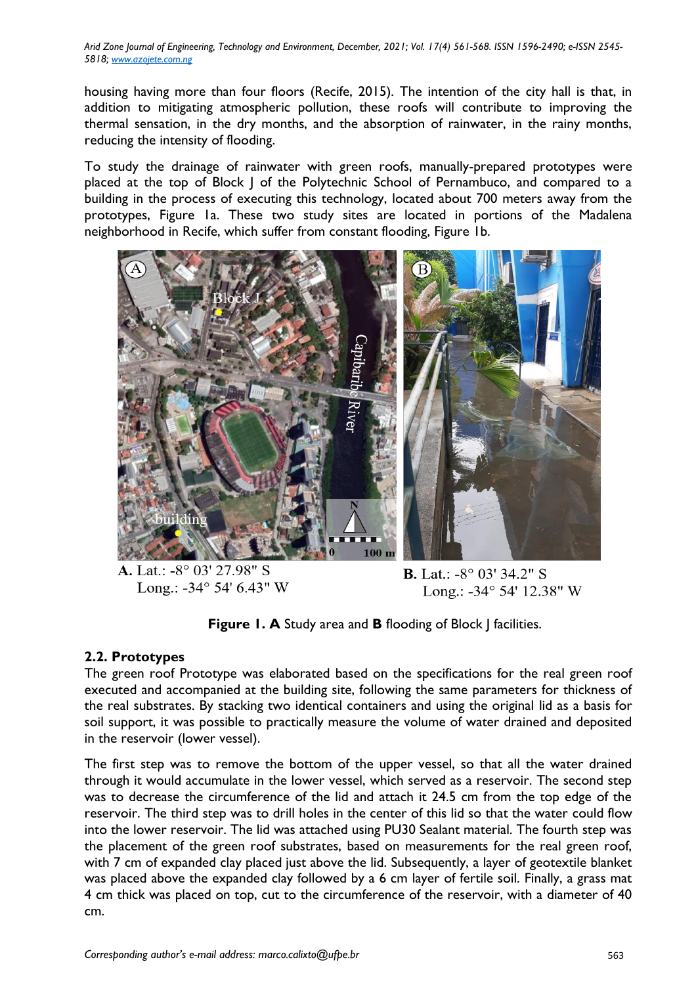*Arid Zone Journal of Engineering, Technology and Environment, December, 2021; Vol. 17(4) 561-568. ISSN 1596-2490; e-ISSN 2545- 5818; www.azojete.com.ng*

housing having more than four floors (Recife, 2015). The intention of the city hall is that, in addition to mitigating atmospheric pollution, these roofs will contribute to improving the thermal sensation, in the dry months, and the absorption of rainwater, in the rainy months, reducing the intensity of flooding.

To study the drainage of rainwater with green roofs, manually-prepared prototypes were placed at the top of Block J of the Polytechnic School of Pernambuco, and compared to a building in the process of executing this technology, located about 700 meters away from the prototypes, Figure 1a. These two study sites are located in portions of the Madalena neighborhood in Recife, which suffer from constant flooding, Figure 1b.



A. Lat.: -8° 03' 27.98" S Long.: -34 $^{\circ}$  54' 6.43" W

**B.** Lat.:  $-8^{\circ}$  03' 34.2" S Long.: -34° 54' 12.38" W

**Figure 1. A** Study area and **B** flooding of Block | facilities.

## **2.2. Prototypes**

The green roof Prototype was elaborated based on the specifications for the real green roof executed and accompanied at the building site, following the same parameters for thickness of the real substrates. By stacking two identical containers and using the original lid as a basis for soil support, it was possible to practically measure the volume of water drained and deposited in the reservoir (lower vessel).

The first step was to remove the bottom of the upper vessel, so that all the water drained through it would accumulate in the lower vessel, which served as a reservoir. The second step was to decrease the circumference of the lid and attach it 24.5 cm from the top edge of the reservoir. The third step was to drill holes in the center of this lid so that the water could flow into the lower reservoir. The lid was attached using PU30 Sealant material. The fourth step was the placement of the green roof substrates, based on measurements for the real green roof, with 7 cm of expanded clay placed just above the lid. Subsequently, a layer of geotextile blanket was placed above the expanded clay followed by a 6 cm layer of fertile soil. Finally, a grass mat 4 cm thick was placed on top, cut to the circumference of the reservoir, with a diameter of 40 cm.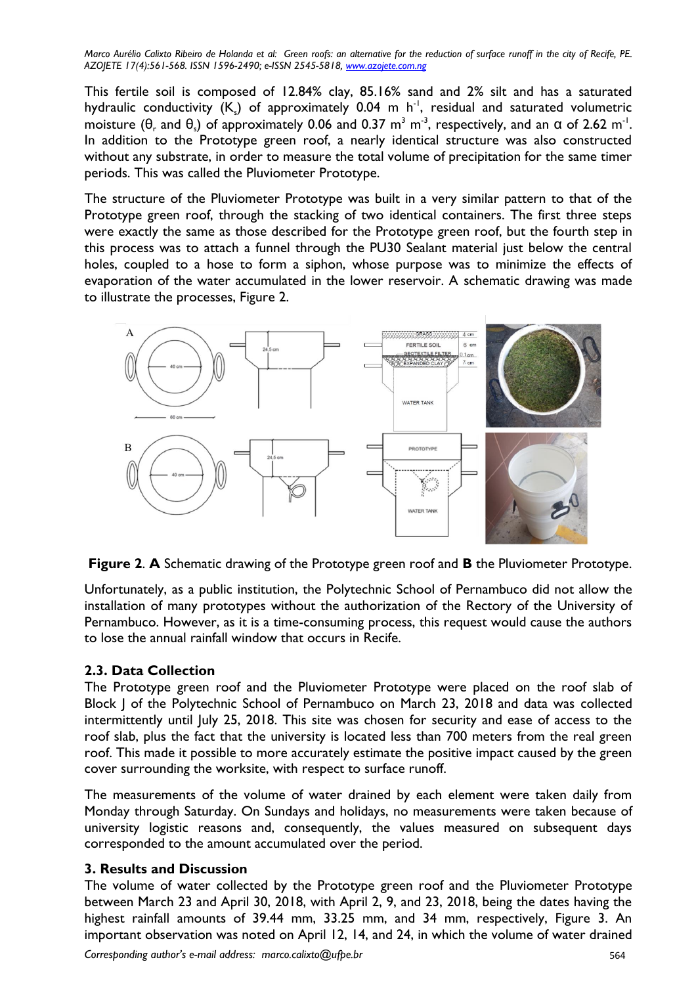This fertile soil is composed of 12.84% clay, 85.16% sand and 2% silt and has a saturated hydraulic conductivity  $(K_{s})$  of approximately 0.04 m h<sup>-1</sup>, residual and saturated volumetric moisture (θ, and θ,) of approximately 0.06 and 0.37 m<sup>3</sup> m<sup>-3</sup>, respectively, and an α of 2.62 m<sup>-1</sup>. In addition to the Prototype green roof, a nearly identical structure was also constructed without any substrate, in order to measure the total volume of precipitation for the same timer periods. This was called the Pluviometer Prototype.

The structure of the Pluviometer Prototype was built in a very similar pattern to that of the Prototype green roof, through the stacking of two identical containers. The first three steps were exactly the same as those described for the Prototype green roof, but the fourth step in this process was to attach a funnel through the PU30 Sealant material just below the central holes, coupled to a hose to form a siphon, whose purpose was to minimize the effects of evaporation of the water accumulated in the lower reservoir. A schematic drawing was made to illustrate the processes, Figure 2.



**Figure 2**. **A** Schematic drawing of the Prototype green roof and **B** the Pluviometer Prototype.

Unfortunately, as a public institution, the Polytechnic School of Pernambuco did not allow the installation of many prototypes without the authorization of the Rectory of the University of Pernambuco. However, as it is a time-consuming process, this request would cause the authors to lose the annual rainfall window that occurs in Recife.

## **2.3. Data Collection**

The Prototype green roof and the Pluviometer Prototype were placed on the roof slab of Block J of the Polytechnic School of Pernambuco on March 23, 2018 and data was collected intermittently until July 25, 2018. This site was chosen for security and ease of access to the roof slab, plus the fact that the university is located less than 700 meters from the real green roof. This made it possible to more accurately estimate the positive impact caused by the green cover surrounding the worksite, with respect to surface runoff.

The measurements of the volume of water drained by each element were taken daily from Monday through Saturday. On Sundays and holidays, no measurements were taken because of university logistic reasons and, consequently, the values measured on subsequent days corresponded to the amount accumulated over the period.

## **3. Results and Discussion**

The volume of water collected by the Prototype green roof and the Pluviometer Prototype between March 23 and April 30, 2018, with April 2, 9, and 23, 2018, being the dates having the highest rainfall amounts of 39.44 mm, 33.25 mm, and 34 mm, respectively, Figure 3. An important observation was noted on April 12, 14, and 24, in which the volume of water drained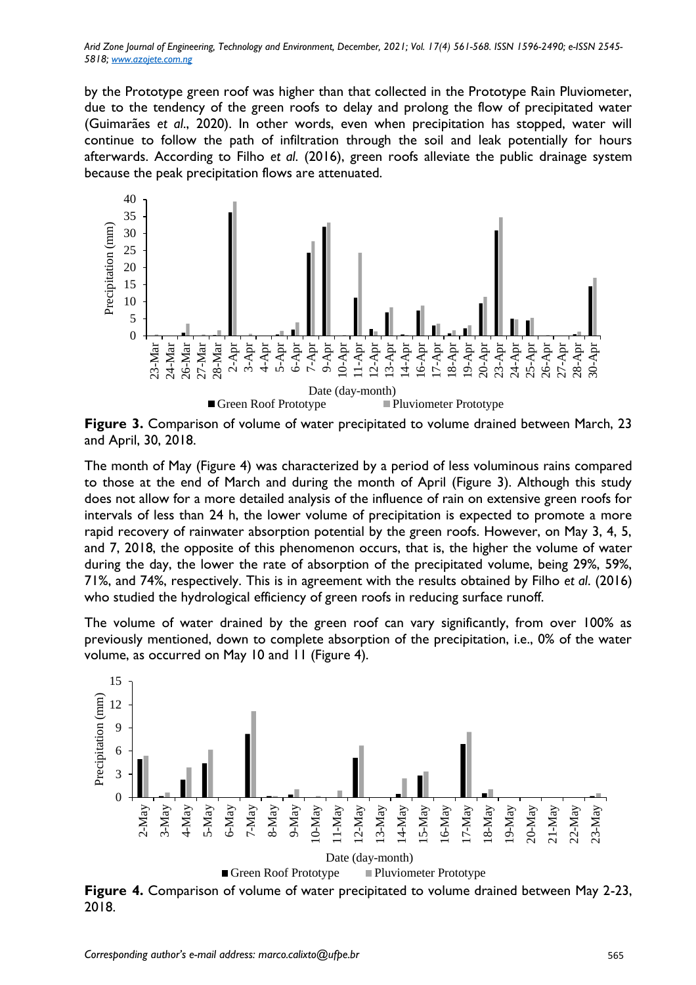*Arid Zone Journal of Engineering, Technology and Environment, December, 2021; Vol. 17(4) 561-568. ISSN 1596-2490; e-ISSN 2545- 5818; www.azojete.com.ng*

by the Prototype green roof was higher than that collected in the Prototype Rain Pluviometer, due to the tendency of the green roofs to delay and prolong the flow of precipitated water (Guimarães *et al*., 2020). In other words, even when precipitation has stopped, water will continue to follow the path of infiltration through the soil and leak potentially for hours afterwards. According to Filho *et al*. (2016), green roofs alleviate the public drainage system because the peak precipitation flows are attenuated.



**Figure 3.** Comparison of volume of water precipitated to volume drained between March, 23 and April, 30, 2018.

The month of May (Figure 4) was characterized by a period of less voluminous rains compared to those at the end of March and during the month of April (Figure 3). Although this study does not allow for a more detailed analysis of the influence of rain on extensive green roofs for intervals of less than 24 h, the lower volume of precipitation is expected to promote a more rapid recovery of rainwater absorption potential by the green roofs. However, on May 3, 4, 5, and 7, 2018, the opposite of this phenomenon occurs, that is, the higher the volume of water during the day, the lower the rate of absorption of the precipitated volume, being 29%, 59%, 71%, and 74%, respectively. This is in agreement with the results obtained by Filho *et al*. (2016) who studied the hydrological efficiency of green roofs in reducing surface runoff.

The volume of water drained by the green roof can vary significantly, from over 100% as previously mentioned, down to complete absorption of the precipitation, i.e., 0% of the water volume, as occurred on May 10 and 11 (Figure 4).



**Figure 4.** Comparison of volume of water precipitated to volume drained between May 2-23, 2018.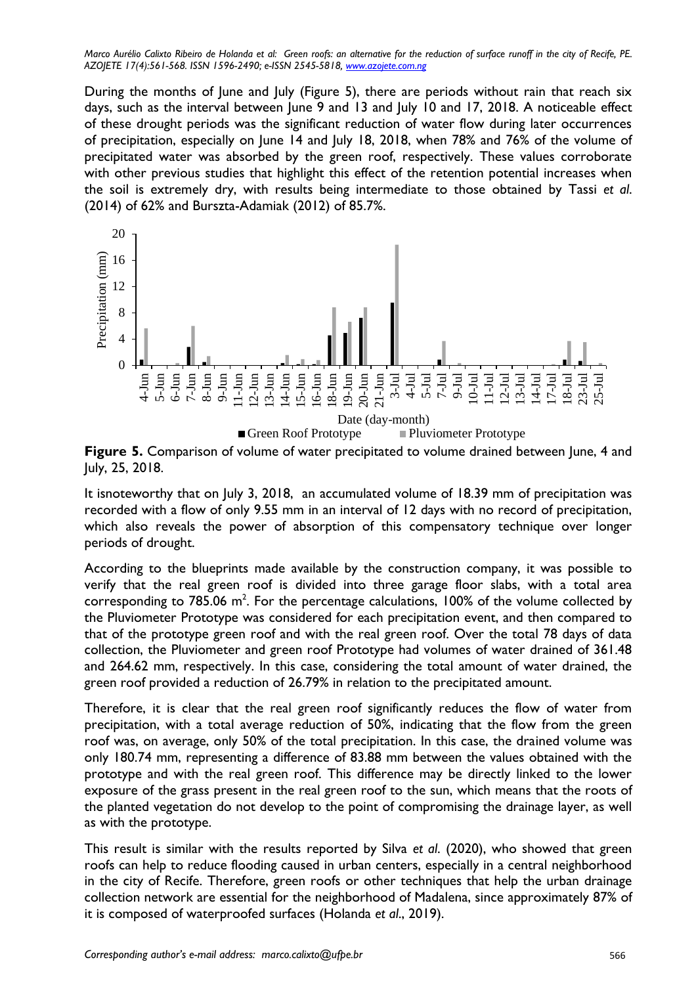During the months of June and July (Figure 5), there are periods without rain that reach six days, such as the interval between June 9 and 13 and July 10 and 17, 2018. A noticeable effect of these drought periods was the significant reduction of water flow during later occurrences of precipitation, especially on June 14 and July 18, 2018, when 78% and 76% of the volume of precipitated water was absorbed by the green roof, respectively. These values corroborate with other previous studies that highlight this effect of the retention potential increases when the soil is extremely dry, with results being intermediate to those obtained by Tassi *et al*. (2014) of 62% and Burszta-Adamiak (2012) of 85.7%.



**Figure 5.** Comparison of volume of water precipitated to volume drained between June, 4 and July, 25, 2018.

It isnoteworthy that on July 3, 2018, an accumulated volume of 18.39 mm of precipitation was recorded with a flow of only 9.55 mm in an interval of 12 days with no record of precipitation, which also reveals the power of absorption of this compensatory technique over longer periods of drought.

According to the blueprints made available by the construction company, it was possible to verify that the real green roof is divided into three garage floor slabs, with a total area corresponding to 785.06 m<sup>2</sup>. For the percentage calculations, 100% of the volume collected by the Pluviometer Prototype was considered for each precipitation event, and then compared to that of the prototype green roof and with the real green roof. Over the total 78 days of data collection, the Pluviometer and green roof Prototype had volumes of water drained of 361.48 and 264.62 mm, respectively. In this case, considering the total amount of water drained, the green roof provided a reduction of 26.79% in relation to the precipitated amount.

Therefore, it is clear that the real green roof significantly reduces the flow of water from precipitation, with a total average reduction of 50%, indicating that the flow from the green roof was, on average, only 50% of the total precipitation. In this case, the drained volume was only 180.74 mm, representing a difference of 83.88 mm between the values obtained with the prototype and with the real green roof. This difference may be directly linked to the lower exposure of the grass present in the real green roof to the sun, which means that the roots of the planted vegetation do not develop to the point of compromising the drainage layer, as well as with the prototype.

This result is similar with the results reported by Silva *et al*. (2020), who showed that green roofs can help to reduce flooding caused in urban centers, especially in a central neighborhood in the city of Recife. Therefore, green roofs or other techniques that help the urban drainage collection network are essential for the neighborhood of Madalena, since approximately 87% of it is composed of waterproofed surfaces (Holanda *et al*., 2019).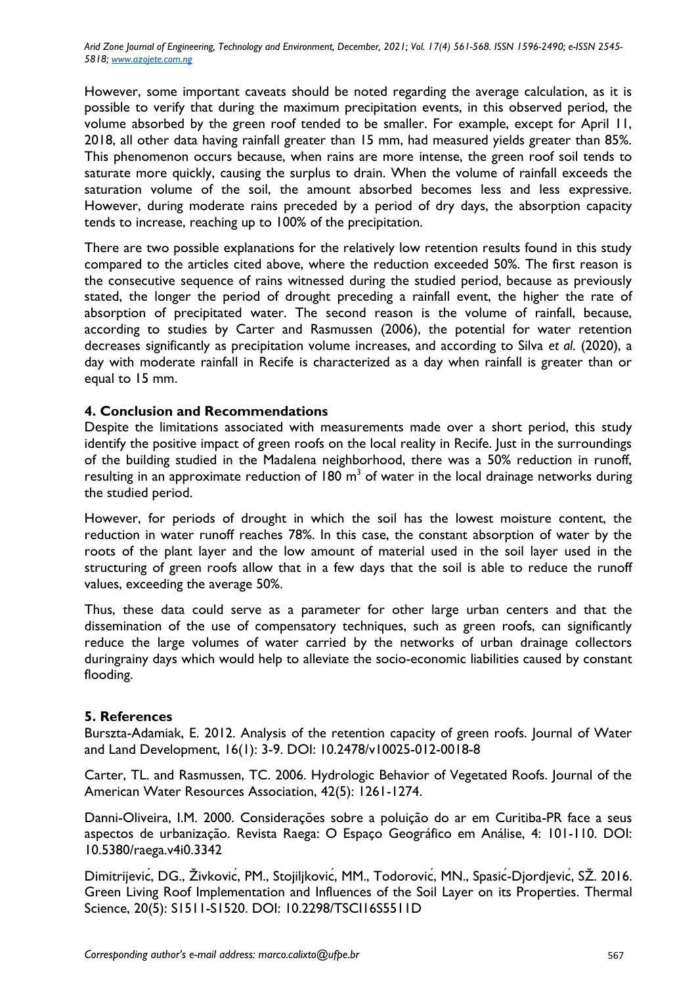*Arid Zone Journal of Engineering, Technology and Environment, December, 2021; Vol. 17(4) 561-568. ISSN 1596-2490; e-ISSN 2545- 5818; www.azojete.com.ng*

However, some important caveats should be noted regarding the average calculation, as it is possible to verify that during the maximum precipitation events, in this observed period, the volume absorbed by the green roof tended to be smaller. For example, except for April 11, 2018, all other data having rainfall greater than 15 mm, had measured yields greater than 85%. This phenomenon occurs because, when rains are more intense, the green roof soil tends to saturate more quickly, causing the surplus to drain. When the volume of rainfall exceeds the saturation volume of the soil, the amount absorbed becomes less and less expressive. However, during moderate rains preceded by a period of dry days, the absorption capacity tends to increase, reaching up to 100% of the precipitation.

There are two possible explanations for the relatively low retention results found in this study compared to the articles cited above, where the reduction exceeded 50%. The first reason is the consecutive sequence of rains witnessed during the studied period, because as previously stated, the longer the period of drought preceding a rainfall event, the higher the rate of absorption of precipitated water. The second reason is the volume of rainfall, because, according to studies by Carter and Rasmussen (2006), the potential for water retention decreases significantly as precipitation volume increases, and according to Silva *et al*. (2020), a day with moderate rainfall in Recife is characterized as a day when rainfall is greater than or equal to 15 mm.

### **4. Conclusion and Recommendations**

Despite the limitations associated with measurements made over a short period, this study identify the positive impact of green roofs on the local reality in Recife. Just in the surroundings of the building studied in the Madalena neighborhood, there was a 50% reduction in runoff, resulting in an approximate reduction of 180  $m<sup>3</sup>$  of water in the local drainage networks during the studied period.

However, for periods of drought in which the soil has the lowest moisture content, the reduction in water runoff reaches 78%. In this case, the constant absorption of water by the roots of the plant layer and the low amount of material used in the soil layer used in the structuring of green roofs allow that in a few days that the soil is able to reduce the runoff values, exceeding the average 50%.

Thus, these data could serve as a parameter for other large urban centers and that the dissemination of the use of compensatory techniques, such as green roofs, can significantly reduce the large volumes of water carried by the networks of urban drainage collectors duringrainy days which would help to alleviate the socio-economic liabilities caused by constant flooding.

#### **5. References**

Burszta-Adamiak, E. 2012. Analysis of the retention capacity of green roofs. Journal of Water and Land Development, 16(1): 3-9. DOI: 10.2478/v10025-012-0018-8

Carter, TL. and Rasmussen, TC. 2006. Hydrologic Behavior of Vegetated Roofs. Journal of the American Water Resources Association, 42(5): 1261-1274.

Danni-Oliveira, I.M. 2000. Considerações sobre a poluição do ar em Curitiba-PR face a seus aspectos de urbanização. Revista Raega: O Espaço Geográfico em Análise, 4: 101-110. DOI: 10.5380/raega.v4i0.3342

Dimitrijević, DG., Živković, PM., Stojiljković, MM., Todorović, MN., Spasić-Djordjević, SŽ. 2016. Green Living Roof Implementation and Influences of the Soil Layer on its Properties. Thermal Science, 20(5): S1511-S1520. DOI: 10.2298/TSCI16S5511D